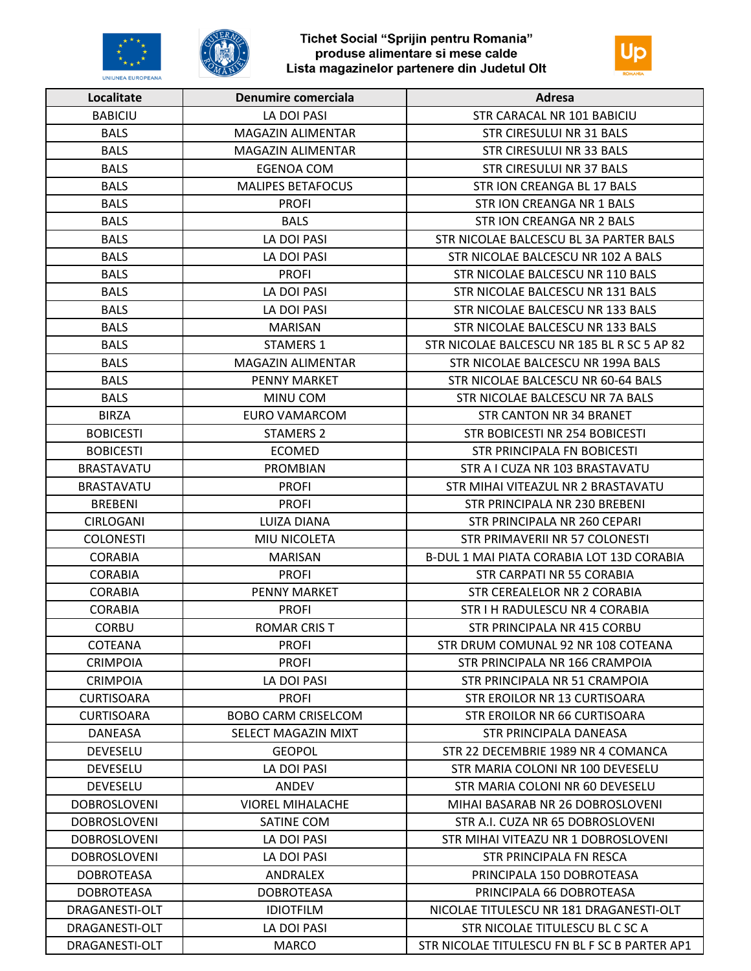



| Localitate          | Denumire comerciala        | Adresa                                        |
|---------------------|----------------------------|-----------------------------------------------|
| <b>BABICIU</b>      | LA DOI PASI                | STR CARACAL NR 101 BABICIU                    |
| <b>BALS</b>         | MAGAZIN ALIMENTAR          | STR CIRESULUI NR 31 BALS                      |
| <b>BALS</b>         | <b>MAGAZIN ALIMENTAR</b>   | STR CIRESULUI NR 33 BALS                      |
| <b>BALS</b>         | <b>EGENOA COM</b>          | <b>STR CIRESULUI NR 37 BALS</b>               |
| <b>BALS</b>         | <b>MALIPES BETAFOCUS</b>   | STR ION CREANGA BL 17 BALS                    |
| <b>BALS</b>         | <b>PROFI</b>               | STR ION CREANGA NR 1 BALS                     |
| <b>BALS</b>         | <b>BALS</b>                | STR ION CREANGA NR 2 BALS                     |
| <b>BALS</b>         | LA DOI PASI                | STR NICOLAE BALCESCU BL 3A PARTER BALS        |
| <b>BALS</b>         | LA DOI PASI                | STR NICOLAE BALCESCU NR 102 A BALS            |
| <b>BALS</b>         | <b>PROFI</b>               | STR NICOLAE BALCESCU NR 110 BALS              |
| <b>BALS</b>         | LA DOI PASI                | STR NICOLAE BALCESCU NR 131 BALS              |
| <b>BALS</b>         | LA DOI PASI                | STR NICOLAE BALCESCU NR 133 BALS              |
| <b>BALS</b>         | <b>MARISAN</b>             | STR NICOLAE BALCESCU NR 133 BALS              |
| <b>BALS</b>         | <b>STAMERS 1</b>           | STR NICOLAE BALCESCU NR 185 BL R SC 5 AP 82   |
| <b>BALS</b>         | <b>MAGAZIN ALIMENTAR</b>   | STR NICOLAE BALCESCU NR 199A BALS             |
| <b>BALS</b>         | <b>PENNY MARKET</b>        | STR NICOLAE BALCESCU NR 60-64 BALS            |
| <b>BALS</b>         | MINU COM                   | STR NICOLAE BALCESCU NR 7A BALS               |
| <b>BIRZA</b>        | <b>EURO VAMARCOM</b>       | <b>STR CANTON NR 34 BRANET</b>                |
| <b>BOBICESTI</b>    | <b>STAMERS 2</b>           | STR BOBICESTI NR 254 BOBICESTI                |
| <b>BOBICESTI</b>    | <b>ECOMED</b>              | STR PRINCIPALA FN BOBICESTI                   |
| <b>BRASTAVATU</b>   | <b>PROMBIAN</b>            | STR A I CUZA NR 103 BRASTAVATU                |
| <b>BRASTAVATU</b>   | <b>PROFI</b>               | STR MIHAI VITEAZUL NR 2 BRASTAVATU            |
| <b>BREBENI</b>      | <b>PROFI</b>               | STR PRINCIPALA NR 230 BREBENI                 |
| <b>CIRLOGANI</b>    | LUIZA DIANA                | STR PRINCIPALA NR 260 CEPARI                  |
| <b>COLONESTI</b>    | MIU NICOLETA               | STR PRIMAVERII NR 57 COLONESTI                |
| <b>CORABIA</b>      | <b>MARISAN</b>             | B-DUL 1 MAI PIATA CORABIA LOT 13D CORABIA     |
| <b>CORABIA</b>      | <b>PROFI</b>               | <b>STR CARPATI NR 55 CORABIA</b>              |
| <b>CORABIA</b>      | PENNY MARKET               | STR CEREALELOR NR 2 CORABIA                   |
| <b>CORABIA</b>      | <b>PROFI</b>               | STR I H RADULESCU NR 4 CORABIA                |
| <b>CORBU</b>        | <b>ROMAR CRIST</b>         | STR PRINCIPALA NR 415 CORBU                   |
| COTEANA             | <b>PROFI</b>               | STR DRUM COMUNAL 92 NR 108 COTEANA            |
| <b>CRIMPOIA</b>     | <b>PROFI</b>               | STR PRINCIPALA NR 166 CRAMPOIA                |
| <b>CRIMPOIA</b>     | LA DOI PASI                | STR PRINCIPALA NR 51 CRAMPOIA                 |
| <b>CURTISOARA</b>   | <b>PROFI</b>               | STR EROILOR NR 13 CURTISOARA                  |
| <b>CURTISOARA</b>   | <b>BOBO CARM CRISELCOM</b> | STR EROILOR NR 66 CURTISOARA                  |
| <b>DANEASA</b>      | SELECT MAGAZIN MIXT        | STR PRINCIPALA DANEASA                        |
| DEVESELU            | <b>GEOPOL</b>              | STR 22 DECEMBRIE 1989 NR 4 COMANCA            |
| <b>DEVESELU</b>     | LA DOI PASI                | STR MARIA COLONI NR 100 DEVESELU              |
| <b>DEVESELU</b>     | ANDEV                      | STR MARIA COLONI NR 60 DEVESELU               |
| <b>DOBROSLOVENI</b> | <b>VIOREL MIHALACHE</b>    | MIHAI BASARAB NR 26 DOBROSLOVENI              |
| <b>DOBROSLOVENI</b> | SATINE COM                 | STR A.I. CUZA NR 65 DOBROSLOVENI              |
| <b>DOBROSLOVENI</b> | LA DOI PASI                | STR MIHAI VITEAZU NR 1 DOBROSLOVENI           |
| <b>DOBROSLOVENI</b> | LA DOI PASI                | STR PRINCIPALA FN RESCA                       |
| <b>DOBROTEASA</b>   | ANDRALEX                   | PRINCIPALA 150 DOBROTEASA                     |
| DOBROTEASA          | <b>DOBROTEASA</b>          | PRINCIPALA 66 DOBROTEASA                      |
| DRAGANESTI-OLT      | <b>IDIOTFILM</b>           | NICOLAE TITULESCU NR 181 DRAGANESTI-OLT       |
| DRAGANESTI-OLT      | LA DOI PASI                | STR NICOLAE TITULESCU BL C SC A               |
| DRAGANESTI-OLT      | <b>MARCO</b>               | STR NICOLAE TITULESCU FN BL F SC B PARTER AP1 |
|                     |                            |                                               |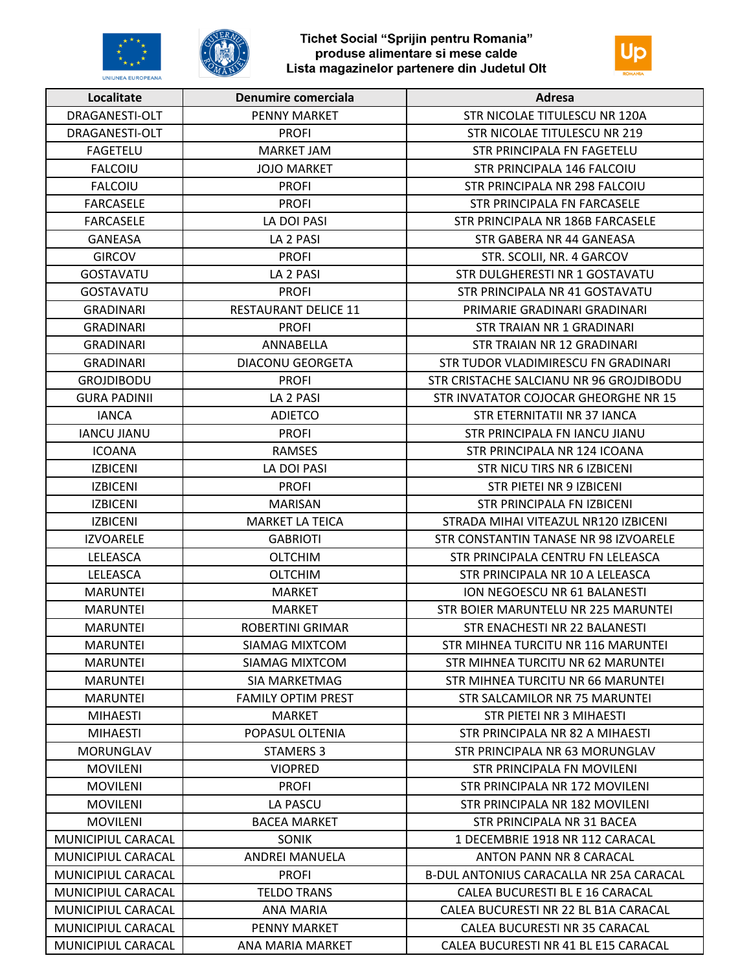



| Localitate          | Denumire comerciala         | Adresa                                  |
|---------------------|-----------------------------|-----------------------------------------|
| DRAGANESTI-OLT      | <b>PENNY MARKET</b>         | STR NICOLAE TITULESCU NR 120A           |
| DRAGANESTI-OLT      | <b>PROFI</b>                | STR NICOLAE TITULESCU NR 219            |
| <b>FAGETELU</b>     | MARKET JAM                  | STR PRINCIPALA FN FAGETELU              |
| <b>FALCOIU</b>      | <b>JOJO MARKET</b>          | STR PRINCIPALA 146 FALCOIU              |
| <b>FALCOIU</b>      | <b>PROFI</b>                | STR PRINCIPALA NR 298 FALCOIU           |
| <b>FARCASELE</b>    | <b>PROFI</b>                | STR PRINCIPALA FN FARCASELE             |
| <b>FARCASELE</b>    | LA DOI PASI                 | STR PRINCIPALA NR 186B FARCASELE        |
| <b>GANEASA</b>      | LA 2 PASI                   | STR GABERA NR 44 GANEASA                |
| <b>GIRCOV</b>       | <b>PROFI</b>                | STR. SCOLII, NR. 4 GARCOV               |
| <b>GOSTAVATU</b>    | LA 2 PASI                   | STR DULGHERESTI NR 1 GOSTAVATU          |
| <b>GOSTAVATU</b>    | <b>PROFI</b>                | STR PRINCIPALA NR 41 GOSTAVATU          |
| <b>GRADINARI</b>    | <b>RESTAURANT DELICE 11</b> | PRIMARIE GRADINARI GRADINARI            |
| <b>GRADINARI</b>    | <b>PROFI</b>                | STR TRAIAN NR 1 GRADINARI               |
| <b>GRADINARI</b>    | ANNABELLA                   | STR TRAIAN NR 12 GRADINARI              |
| <b>GRADINARI</b>    | DIACONU GEORGETA            | STR TUDOR VLADIMIRESCU FN GRADINARI     |
| <b>GROJDIBODU</b>   | <b>PROFI</b>                | STR CRISTACHE SALCIANU NR 96 GROJDIBODU |
| <b>GURA PADINII</b> | LA 2 PASI                   | STR INVATATOR COJOCAR GHEORGHE NR 15    |
| <b>IANCA</b>        | <b>ADIETCO</b>              | STR ETERNITATII NR 37 IANCA             |
| <b>IANCU JIANU</b>  | <b>PROFI</b>                | STR PRINCIPALA FN IANCU JIANU           |
| <b>ICOANA</b>       | <b>RAMSES</b>               | STR PRINCIPALA NR 124 ICOANA            |
| <b>IZBICENI</b>     | LA DOI PASI                 | STR NICU TIRS NR 6 IZBICENI             |
| <b>IZBICENI</b>     | <b>PROFI</b>                | STR PIETEI NR 9 IZBICENI                |
| <b>IZBICENI</b>     | <b>MARISAN</b>              | STR PRINCIPALA FN IZBICENI              |
| <b>IZBICENI</b>     | <b>MARKET LA TEICA</b>      | STRADA MIHAI VITEAZUL NR120 IZBICENI    |
| <b>IZVOARELE</b>    | <b>GABRIOTI</b>             | STR CONSTANTIN TANASE NR 98 IZVOARELE   |
| LELEASCA            | <b>OLTCHIM</b>              | STR PRINCIPALA CENTRU FN LELEASCA       |
| LELEASCA            | <b>OLTCHIM</b>              | STR PRINCIPALA NR 10 A LELEASCA         |
| <b>MARUNTEI</b>     | <b>MARKET</b>               | ION NEGOESCU NR 61 BALANESTI            |
| <b>MARUNTEI</b>     | <b>MARKET</b>               | STR BOIER MARUNTELU NR 225 MARUNTEI     |
| <b>MARUNTEI</b>     | ROBERTINI GRIMAR            | STR ENACHESTI NR 22 BALANESTI           |
| <b>MARUNTEI</b>     | <b>SIAMAG MIXTCOM</b>       | STR MIHNEA TURCITU NR 116 MARUNTEI      |
| <b>MARUNTEI</b>     | SIAMAG MIXTCOM              | STR MIHNEA TURCITU NR 62 MARUNTEI       |
| <b>MARUNTEI</b>     | SIA MARKETMAG               | STR MIHNEA TURCITU NR 66 MARUNTEI       |
| <b>MARUNTEI</b>     | <b>FAMILY OPTIM PREST</b>   | <b>STR SALCAMILOR NR 75 MARUNTEI</b>    |
| <b>MIHAESTI</b>     | <b>MARKET</b>               | STR PIETEI NR 3 MIHAESTI                |
| <b>MIHAESTI</b>     | POPASUL OLTENIA             | STR PRINCIPALA NR 82 A MIHAESTI         |
| <b>MORUNGLAV</b>    | <b>STAMERS 3</b>            | STR PRINCIPALA NR 63 MORUNGLAV          |
| <b>MOVILENI</b>     | <b>VIOPRED</b>              | STR PRINCIPALA FN MOVILENI              |
| <b>MOVILENI</b>     | <b>PROFI</b>                | STR PRINCIPALA NR 172 MOVILENI          |
| <b>MOVILENI</b>     | LA PASCU                    | STR PRINCIPALA NR 182 MOVILENI          |
| <b>MOVILENI</b>     | <b>BACEA MARKET</b>         | STR PRINCIPALA NR 31 BACEA              |
| MUNICIPIUL CARACAL  | <b>SONIK</b>                | 1 DECEMBRIE 1918 NR 112 CARACAL         |
| MUNICIPIUL CARACAL  | <b>ANDREI MANUELA</b>       | ANTON PANN NR 8 CARACAL                 |
| MUNICIPIUL CARACAL  | <b>PROFI</b>                | B-DUL ANTONIUS CARACALLA NR 25A CARACAL |
| MUNICIPIUL CARACAL  | <b>TELDO TRANS</b>          | CALEA BUCURESTI BL E 16 CARACAL         |
| MUNICIPIUL CARACAL  | ANA MARIA                   | CALEA BUCURESTI NR 22 BL B1A CARACAL    |
| MUNICIPIUL CARACAL  | PENNY MARKET                | CALEA BUCURESTI NR 35 CARACAL           |
| MUNICIPIUL CARACAL  | ANA MARIA MARKET            | CALEA BUCURESTI NR 41 BL E15 CARACAL    |
|                     |                             |                                         |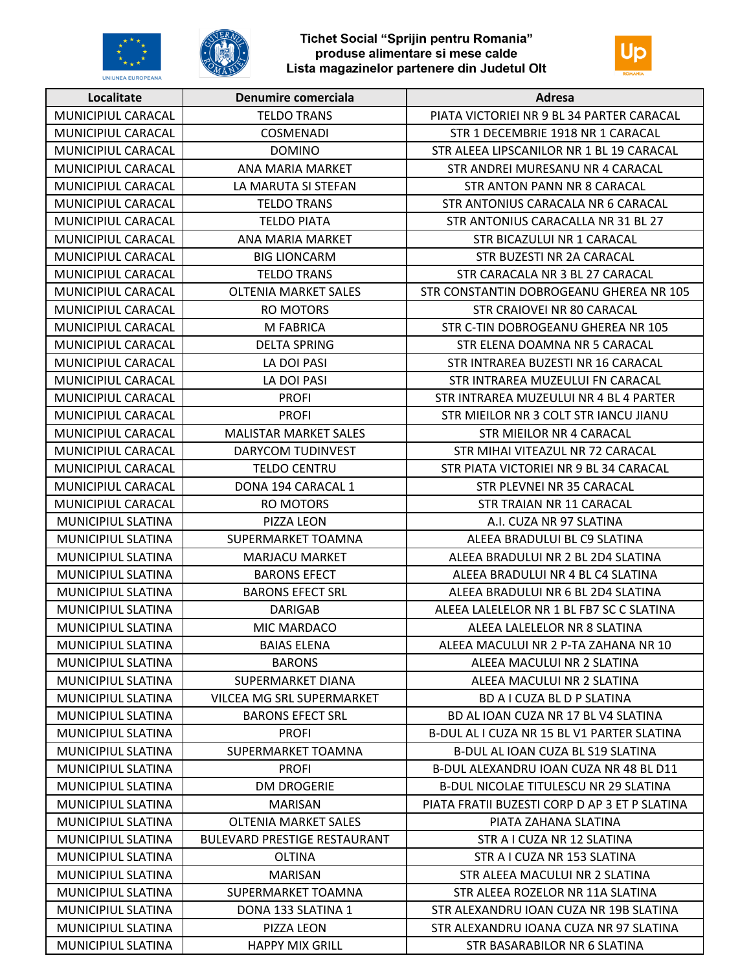



| Localitate                | Denumire comerciala                 | Adresa                                        |
|---------------------------|-------------------------------------|-----------------------------------------------|
| MUNICIPIUL CARACAL        | <b>TELDO TRANS</b>                  | PIATA VICTORIEI NR 9 BL 34 PARTER CARACAL     |
| MUNICIPIUL CARACAL        | <b>COSMENADI</b>                    | STR 1 DECEMBRIE 1918 NR 1 CARACAL             |
| MUNICIPIUL CARACAL        | <b>DOMINO</b>                       | STR ALEEA LIPSCANILOR NR 1 BL 19 CARACAL      |
| MUNICIPIUL CARACAL        | ANA MARIA MARKET                    | STR ANDREI MURESANU NR 4 CARACAL              |
| MUNICIPIUL CARACAL        | LA MARUTA SI STEFAN                 | STR ANTON PANN NR 8 CARACAL                   |
| MUNICIPIUL CARACAL        | <b>TELDO TRANS</b>                  | STR ANTONIUS CARACALA NR 6 CARACAL            |
| MUNICIPIUL CARACAL        | <b>TELDO PIATA</b>                  | STR ANTONIUS CARACALLA NR 31 BL 27            |
| MUNICIPIUL CARACAL        | ANA MARIA MARKET                    | STR BICAZULUI NR 1 CARACAL                    |
| MUNICIPIUL CARACAL        | <b>BIG LIONCARM</b>                 | STR BUZESTI NR 2A CARACAL                     |
| MUNICIPIUL CARACAL        | <b>TELDO TRANS</b>                  | STR CARACALA NR 3 BL 27 CARACAL               |
| MUNICIPIUL CARACAL        | <b>OLTENIA MARKET SALES</b>         | STR CONSTANTIN DOBROGEANU GHEREA NR 105       |
| MUNICIPIUL CARACAL        | <b>RO MOTORS</b>                    | STR CRAIOVEI NR 80 CARACAL                    |
| MUNICIPIUL CARACAL        | M FABRICA                           | STR C-TIN DOBROGEANU GHEREA NR 105            |
| MUNICIPIUL CARACAL        | <b>DELTA SPRING</b>                 | STR ELENA DOAMNA NR 5 CARACAL                 |
| MUNICIPIUL CARACAL        | LA DOI PASI                         | STR INTRAREA BUZESTI NR 16 CARACAL            |
| MUNICIPIUL CARACAL        | LA DOI PASI                         | STR INTRAREA MUZEULUI FN CARACAL              |
| MUNICIPIUL CARACAL        | <b>PROFI</b>                        | STR INTRAREA MUZEULUI NR 4 BL 4 PARTER        |
| MUNICIPIUL CARACAL        | <b>PROFI</b>                        | STR MIEILOR NR 3 COLT STR IANCU JIANU         |
| MUNICIPIUL CARACAL        | <b>MALISTAR MARKET SALES</b>        | STR MIEILOR NR 4 CARACAL                      |
| MUNICIPIUL CARACAL        | DARYCOM TUDINVEST                   | STR MIHAI VITEAZUL NR 72 CARACAL              |
| MUNICIPIUL CARACAL        | <b>TELDO CENTRU</b>                 | STR PIATA VICTORIEI NR 9 BL 34 CARACAL        |
| MUNICIPIUL CARACAL        | DONA 194 CARACAL 1                  | STR PLEVNEI NR 35 CARACAL                     |
| MUNICIPIUL CARACAL        | <b>RO MOTORS</b>                    | STR TRAIAN NR 11 CARACAL                      |
| MUNICIPIUL SLATINA        | PIZZA LEON                          | A.I. CUZA NR 97 SLATINA                       |
| MUNICIPIUL SLATINA        | SUPERMARKET TOAMNA                  | ALEEA BRADULUI BL C9 SLATINA                  |
| MUNICIPIUL SLATINA        | MARJACU MARKET                      | ALEEA BRADULUI NR 2 BL 2D4 SLATINA            |
| MUNICIPIUL SLATINA        | <b>BARONS EFECT</b>                 | ALEEA BRADULUI NR 4 BL C4 SLATINA             |
| MUNICIPIUL SLATINA        | <b>BARONS EFECT SRL</b>             | ALEEA BRADULUI NR 6 BL 2D4 SLATINA            |
| MUNICIPIUL SLATINA        | <b>DARIGAB</b>                      | ALEEA LALELELOR NR 1 BL FB7 SC C SLATINA      |
| <b>MUNICIPIUL SLATINA</b> | MIC MARDACO                         | ALEEA LALELELOR NR 8 SLATINA                  |
| MUNICIPIUL SLATINA        | <b>BAIAS ELENA</b>                  | ALEEA MACULUI NR 2 P-TA ZAHANA NR 10          |
| <b>MUNICIPIUL SLATINA</b> | <b>BARONS</b>                       | ALEEA MACULUI NR 2 SLATINA                    |
| <b>MUNICIPIUL SLATINA</b> | SUPERMARKET DIANA                   | ALEEA MACULUI NR 2 SLATINA                    |
| MUNICIPIUL SLATINA        | VILCEA MG SRL SUPERMARKET           | BD A I CUZA BL D P SLATINA                    |
| MUNICIPIUL SLATINA        | <b>BARONS EFECT SRL</b>             | BD AL IOAN CUZA NR 17 BL V4 SLATINA           |
| <b>MUNICIPIUL SLATINA</b> | <b>PROFI</b>                        | B-DUL AL I CUZA NR 15 BL V1 PARTER SLATINA    |
| MUNICIPIUL SLATINA        | SUPERMARKET TOAMNA                  | B-DUL AL IOAN CUZA BL S19 SLATINA             |
| MUNICIPIUL SLATINA        | <b>PROFI</b>                        | B-DUL ALEXANDRU IOAN CUZA NR 48 BL D11        |
| MUNICIPIUL SLATINA        | <b>DM DROGERIE</b>                  | B-DUL NICOLAE TITULESCU NR 29 SLATINA         |
| MUNICIPIUL SLATINA        | <b>MARISAN</b>                      | PIATA FRATII BUZESTI CORP D AP 3 ET P SLATINA |
| MUNICIPIUL SLATINA        | <b>OLTENIA MARKET SALES</b>         | PIATA ZAHANA SLATINA                          |
| MUNICIPIUL SLATINA        | <b>BULEVARD PRESTIGE RESTAURANT</b> | STR A I CUZA NR 12 SLATINA                    |
| MUNICIPIUL SLATINA        | <b>OLTINA</b>                       | STR A I CUZA NR 153 SLATINA                   |
| MUNICIPIUL SLATINA        | <b>MARISAN</b>                      | STR ALEEA MACULUI NR 2 SLATINA                |
| MUNICIPIUL SLATINA        | SUPERMARKET TOAMNA                  | STR ALEEA ROZELOR NR 11A SLATINA              |
| MUNICIPIUL SLATINA        | DONA 133 SLATINA 1                  | STR ALEXANDRU IOAN CUZA NR 19B SLATINA        |
| MUNICIPIUL SLATINA        | PIZZA LEON                          | STR ALEXANDRU IOANA CUZA NR 97 SLATINA        |
| MUNICIPIUL SLATINA        | <b>HAPPY MIX GRILL</b>              | STR BASARABILOR NR 6 SLATINA                  |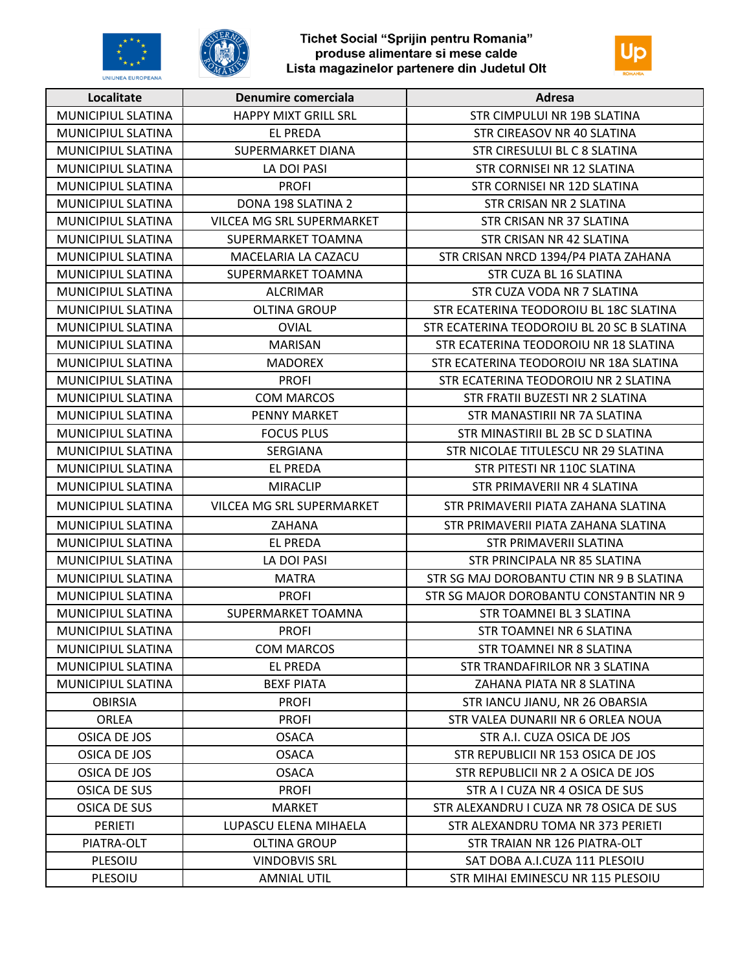





| Localitate                | Denumire comerciala         | Adresa                                     |
|---------------------------|-----------------------------|--------------------------------------------|
| MUNICIPIUL SLATINA        | <b>HAPPY MIXT GRILL SRL</b> | STR CIMPULUI NR 19B SLATINA                |
| MUNICIPIUL SLATINA        | <b>EL PREDA</b>             | STR CIREASOV NR 40 SLATINA                 |
| MUNICIPIUL SLATINA        | SUPERMARKET DIANA           | STR CIRESULUI BL C 8 SLATINA               |
| MUNICIPIUL SLATINA        | LA DOI PASI                 | STR CORNISEI NR 12 SLATINA                 |
| MUNICIPIUL SLATINA        | <b>PROFI</b>                | STR CORNISEI NR 12D SLATINA                |
| MUNICIPIUL SLATINA        | DONA 198 SLATINA 2          | STR CRISAN NR 2 SLATINA                    |
| MUNICIPIUL SLATINA        | VILCEA MG SRL SUPERMARKET   | STR CRISAN NR 37 SLATINA                   |
| MUNICIPIUL SLATINA        | SUPERMARKET TOAMNA          | STR CRISAN NR 42 SLATINA                   |
| MUNICIPIUL SLATINA        | MACELARIA LA CAZACU         | STR CRISAN NRCD 1394/P4 PIATA ZAHANA       |
| MUNICIPIUL SLATINA        | SUPERMARKET TOAMNA          | STR CUZA BL 16 SLATINA                     |
| MUNICIPIUL SLATINA        | <b>ALCRIMAR</b>             | STR CUZA VODA NR 7 SLATINA                 |
| MUNICIPIUL SLATINA        | <b>OLTINA GROUP</b>         | STR ECATERINA TEODOROIU BL 18C SLATINA     |
| MUNICIPIUL SLATINA        | <b>OVIAL</b>                | STR ECATERINA TEODOROIU BL 20 SC B SLATINA |
| MUNICIPIUL SLATINA        | <b>MARISAN</b>              | STR ECATERINA TEODOROIU NR 18 SLATINA      |
| MUNICIPIUL SLATINA        | <b>MADOREX</b>              | STR ECATERINA TEODOROIU NR 18A SLATINA     |
| MUNICIPIUL SLATINA        | <b>PROFI</b>                | STR ECATERINA TEODOROIU NR 2 SLATINA       |
| MUNICIPIUL SLATINA        | <b>COM MARCOS</b>           | STR FRATII BUZESTI NR 2 SLATINA            |
| MUNICIPIUL SLATINA        | PENNY MARKET                | STR MANASTIRII NR 7A SLATINA               |
| MUNICIPIUL SLATINA        | <b>FOCUS PLUS</b>           | STR MINASTIRII BL 2B SC D SLATINA          |
| MUNICIPIUL SLATINA        | SERGIANA                    | STR NICOLAE TITULESCU NR 29 SLATINA        |
| MUNICIPIUL SLATINA        | <b>EL PREDA</b>             | STR PITESTI NR 110C SLATINA                |
| MUNICIPIUL SLATINA        | MIRACLIP                    | STR PRIMAVERII NR 4 SLATINA                |
| MUNICIPIUL SLATINA        | VILCEA MG SRL SUPERMARKET   | STR PRIMAVERII PIATA ZAHANA SLATINA        |
| MUNICIPIUL SLATINA        | ZAHANA                      | STR PRIMAVERII PIATA ZAHANA SLATINA        |
| MUNICIPIUL SLATINA        | EL PREDA                    | STR PRIMAVERII SLATINA                     |
| MUNICIPIUL SLATINA        | LA DOI PASI                 | STR PRINCIPALA NR 85 SLATINA               |
| MUNICIPIUL SLATINA        | <b>MATRA</b>                | STR SG MAJ DOROBANTU CTIN NR 9 B SLATINA   |
| MUNICIPIUL SLATINA        | <b>PROFI</b>                | STR SG MAJOR DOROBANTU CONSTANTIN NR 9     |
| MUNICIPIUL SLATINA        | SUPERMARKET TOAMNA          | STR TOAMNEI BL 3 SLATINA                   |
| MUNICIPIUL SLATINA        | <b>PROFI</b>                | STR TOAMNEI NR 6 SLATINA                   |
| MUNICIPIUL SLATINA        | <b>COM MARCOS</b>           | STR TOAMNEI NR 8 SLATINA                   |
| <b>MUNICIPIUL SLATINA</b> | <b>EL PREDA</b>             | STR TRANDAFIRILOR NR 3 SLATINA             |
| MUNICIPIUL SLATINA        | <b>BEXF PIATA</b>           | ZAHANA PIATA NR 8 SLATINA                  |
| <b>OBIRSIA</b>            | <b>PROFI</b>                | STR IANCU JIANU, NR 26 OBARSIA             |
| <b>ORLEA</b>              | <b>PROFI</b>                | STR VALEA DUNARII NR 6 ORLEA NOUA          |
| OSICA DE JOS              | <b>OSACA</b>                | STR A.I. CUZA OSICA DE JOS                 |
| OSICA DE JOS              | <b>OSACA</b>                | STR REPUBLICII NR 153 OSICA DE JOS         |
| OSICA DE JOS              | <b>OSACA</b>                | STR REPUBLICII NR 2 A OSICA DE JOS         |
| <b>OSICA DE SUS</b>       | <b>PROFI</b>                | STR A I CUZA NR 4 OSICA DE SUS             |
| <b>OSICA DE SUS</b>       | <b>MARKET</b>               | STR ALEXANDRU I CUZA NR 78 OSICA DE SUS    |
| PERIETI                   | LUPASCU ELENA MIHAELA       | STR ALEXANDRU TOMA NR 373 PERIETI          |
| PIATRA-OLT                | <b>OLTINA GROUP</b>         | STR TRAIAN NR 126 PIATRA-OLT               |
| PLESOIU                   | <b>VINDOBVIS SRL</b>        | SAT DOBA A.I.CUZA 111 PLESOIU              |
| PLESOIU                   | <b>AMNIAL UTIL</b>          | STR MIHAI EMINESCU NR 115 PLESOIU          |